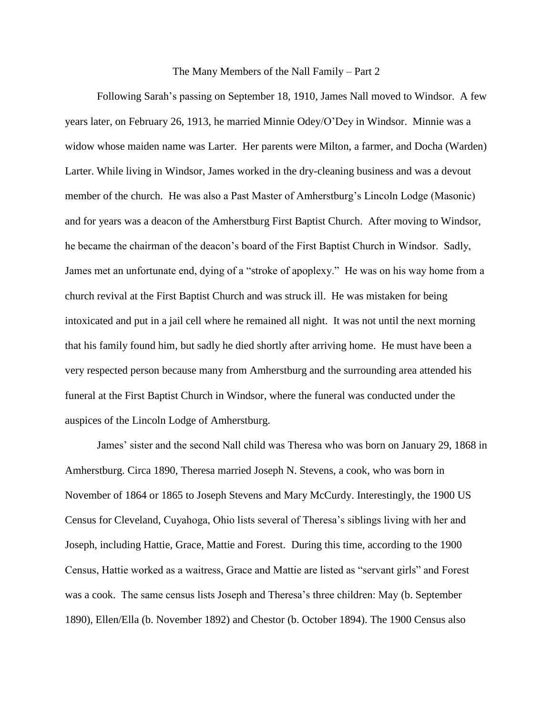## The Many Members of the Nall Family – Part 2

Following Sarah's passing on September 18, 1910, James Nall moved to Windsor. A few years later, on February 26, 1913, he married Minnie Odey/O'Dey in Windsor. Minnie was a widow whose maiden name was Larter. Her parents were Milton, a farmer, and Docha (Warden) Larter. While living in Windsor, James worked in the dry-cleaning business and was a devout member of the church. He was also a Past Master of Amherstburg's Lincoln Lodge (Masonic) and for years was a deacon of the Amherstburg First Baptist Church. After moving to Windsor, he became the chairman of the deacon's board of the First Baptist Church in Windsor. Sadly, James met an unfortunate end, dying of a "stroke of apoplexy." He was on his way home from a church revival at the First Baptist Church and was struck ill. He was mistaken for being intoxicated and put in a jail cell where he remained all night. It was not until the next morning that his family found him, but sadly he died shortly after arriving home. He must have been a very respected person because many from Amherstburg and the surrounding area attended his funeral at the First Baptist Church in Windsor, where the funeral was conducted under the auspices of the Lincoln Lodge of Amherstburg.

James' sister and the second Nall child was Theresa who was born on January 29, 1868 in Amherstburg. Circa 1890, Theresa married Joseph N. Stevens, a cook, who was born in November of 1864 or 1865 to Joseph Stevens and Mary McCurdy. Interestingly, the 1900 US Census for Cleveland, Cuyahoga, Ohio lists several of Theresa's siblings living with her and Joseph, including Hattie, Grace, Mattie and Forest. During this time, according to the 1900 Census, Hattie worked as a waitress, Grace and Mattie are listed as "servant girls" and Forest was a cook. The same census lists Joseph and Theresa's three children: May (b. September 1890), Ellen/Ella (b. November 1892) and Chestor (b. October 1894). The 1900 Census also